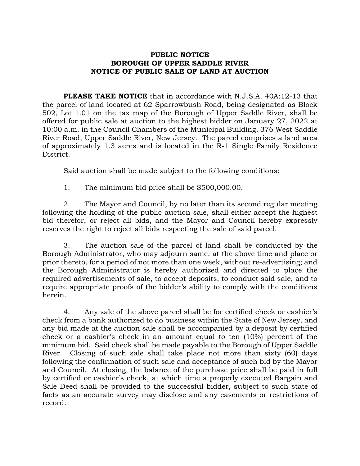## **PUBLIC NOTICE BOROUGH OF UPPER SADDLE RIVER NOTICE OF PUBLIC SALE OF LAND AT AUCTION**

**PLEASE TAKE NOTICE** that in accordance with N.J.S.A. 40A:12-13 that the parcel of land located at 62 Sparrowbush Road, being designated as Block 502, Lot 1.01 on the tax map of the Borough of Upper Saddle River, shall be offered for public sale at auction to the highest bidder on January 27, 2022 at 10:00 a.m. in the Council Chambers of the Municipal Building, 376 West Saddle River Road, Upper Saddle River, New Jersey. The parcel comprises a land area of approximately 1.3 acres and is located in the R-1 Single Family Residence District.

Said auction shall be made subject to the following conditions:

1. The minimum bid price shall be \$500,000.00.

2. The Mayor and Council, by no later than its second regular meeting following the holding of the public auction sale, shall either accept the highest bid therefor, or reject all bids, and the Mayor and Council hereby expressly reserves the right to reject all bids respecting the sale of said parcel.

3. The auction sale of the parcel of land shall be conducted by the Borough Administrator, who may adjourn same, at the above time and place or prior thereto, for a period of not more than one week, without re-advertising; and the Borough Administrator is hereby authorized and directed to place the required advertisements of sale, to accept deposits, to conduct said sale, and to require appropriate proofs of the bidder's ability to comply with the conditions herein.

4. Any sale of the above parcel shall be for certified check or cashier's check from a bank authorized to do business within the State of New Jersey, and any bid made at the auction sale shall be accompanied by a deposit by certified check or a cashier's check in an amount equal to ten (10%) percent of the minimum bid. Said check shall be made payable to the Borough of Upper Saddle River. Closing of such sale shall take place not more than sixty (60) days following the confirmation of such sale and acceptance of such bid by the Mayor and Council. At closing, the balance of the purchase price shall be paid in full by certified or cashier's check, at which time a properly executed Bargain and Sale Deed shall be provided to the successful bidder, subject to such state of facts as an accurate survey may disclose and any easements or restrictions of record.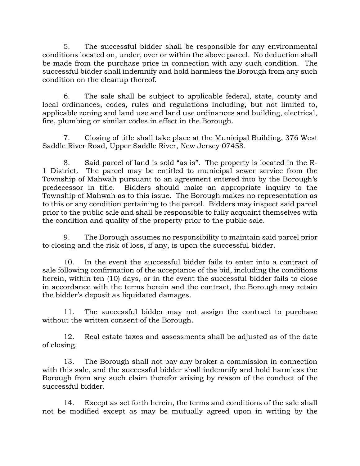5. The successful bidder shall be responsible for any environmental conditions located on, under, over or within the above parcel. No deduction shall be made from the purchase price in connection with any such condition. The successful bidder shall indemnify and hold harmless the Borough from any such condition on the cleanup thereof.

6. The sale shall be subject to applicable federal, state, county and local ordinances, codes, rules and regulations including, but not limited to, applicable zoning and land use and land use ordinances and building, electrical, fire, plumbing or similar codes in effect in the Borough.

7. Closing of title shall take place at the Municipal Building, 376 West Saddle River Road, Upper Saddle River, New Jersey 07458.

8. Said parcel of land is sold "as is". The property is located in the R-1 District. The parcel may be entitled to municipal sewer service from the Township of Mahwah pursuant to an agreement entered into by the Borough's predecessor in title. Bidders should make an appropriate inquiry to the Township of Mahwah as to this issue. The Borough makes no representation as to this or any condition pertaining to the parcel. Bidders may inspect said parcel prior to the public sale and shall be responsible to fully acquaint themselves with the condition and quality of the property prior to the public sale.

9. The Borough assumes no responsibility to maintain said parcel prior to closing and the risk of loss, if any, is upon the successful bidder.

10. In the event the successful bidder fails to enter into a contract of sale following confirmation of the acceptance of the bid, including the conditions herein, within ten (10) days, or in the event the successful bidder fails to close in accordance with the terms herein and the contract, the Borough may retain the bidder's deposit as liquidated damages.

11. The successful bidder may not assign the contract to purchase without the written consent of the Borough.

12. Real estate taxes and assessments shall be adjusted as of the date of closing.

13. The Borough shall not pay any broker a commission in connection with this sale, and the successful bidder shall indemnify and hold harmless the Borough from any such claim therefor arising by reason of the conduct of the successful bidder.

14. Except as set forth herein, the terms and conditions of the sale shall not be modified except as may be mutually agreed upon in writing by the